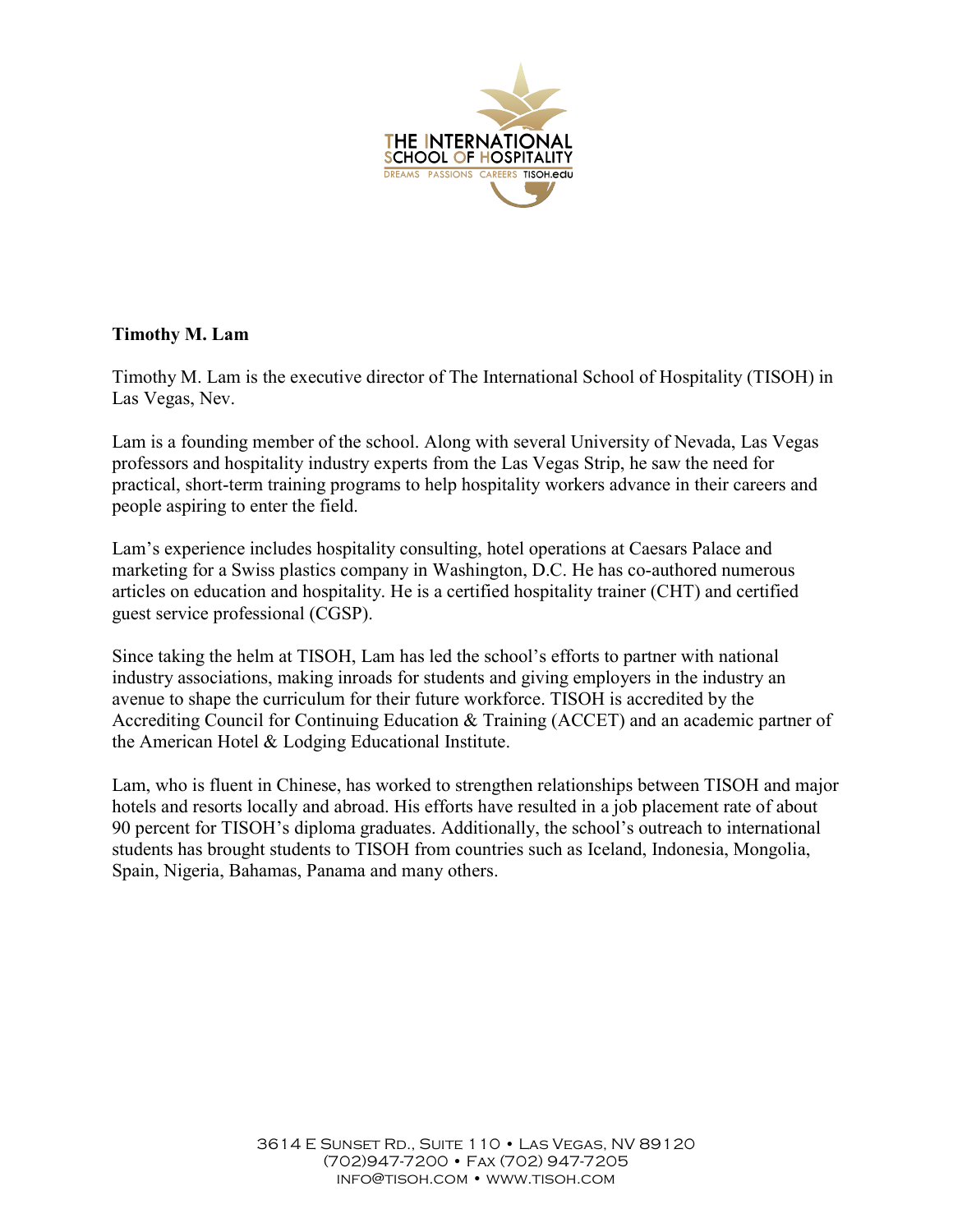

## Timothy M. Lam

Timothy M. Lam is the executive director of The International School of Hospitality (TISOH) in Las Vegas, Nev.

Lam is a founding member of the school. Along with several University of Nevada, Las Vegas professors and hospitality industry experts from the Las Vegas Strip, he saw the need for practical, short-term training programs to help hospitality workers advance in their careers and people aspiring to enter the field.

Lam's experience includes hospitality consulting, hotel operations at Caesars Palace and marketing for a Swiss plastics company in Washington, D.C. He has co-authored numerous articles on education and hospitality. He is a certified hospitality trainer (CHT) and certified guest service professional (CGSP).

Since taking the helm at TISOH, Lam has led the school's efforts to partner with national industry associations, making inroads for students and giving employers in the industry an avenue to shape the curriculum for their future workforce. TISOH is accredited by the Accrediting Council for Continuing Education & Training (ACCET) and an academic partner of the American Hotel & Lodging Educational Institute.

Lam, who is fluent in Chinese, has worked to strengthen relationships between TISOH and major hotels and resorts locally and abroad. His efforts have resulted in a job placement rate of about 90 percent for TISOH's diploma graduates. Additionally, the school's outreach to international students has brought students to TISOH from countries such as Iceland, Indonesia, Mongolia, Spain, Nigeria, Bahamas, Panama and many others.